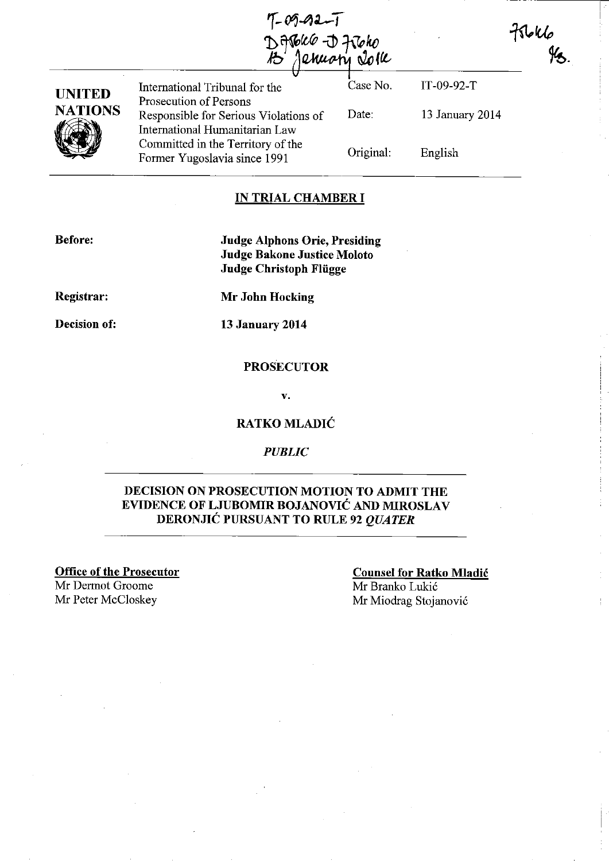| $7 - 09 - 02 - 1$                      |  |
|----------------------------------------|--|
|                                        |  |
| Difibico -D filoho<br>15 Jehuary Jolle |  |

75646<br>- 965.

| <b>UNITED</b>  | International Tribunal for the                                          | Case No.  | $IT-09-92-T$    |
|----------------|-------------------------------------------------------------------------|-----------|-----------------|
| <b>NATIONS</b> | Prosecution of Persons                                                  |           |                 |
|                | Responsible for Serious Violations of<br>International Humanitarian Law | Date:     | 13 January 2014 |
|                | Committed in the Territory of the<br>Former Yugoslavia since 1991       | Original: | English         |

#### IN TRIAL CHAMBER I

Before:

Judge Alphons Orie, Presiding Judge Bakone Justice Moloto Judge Christoph Flügge

Registrar:

Decision of:

Mr John Hocking 13 January 2014

#### PROSECUTOR

v.

#### RATKO MLADIC

*PUBLIC* 

### DECISION ON PROSECUTION MOTION TO ADMIT THE EVIDENCE OF LJUBOMIR BOJANOVIĆ AND MIROSLAV DERONJIĆ PURSUANT TO RULE 92 QUATER

Office of the Prosecutor Mr Dermot Groome<br>Mr Peter McCloskey

Counsel for Ratko Mladic Mr Branko Lukic Mr Miodrag Stojanović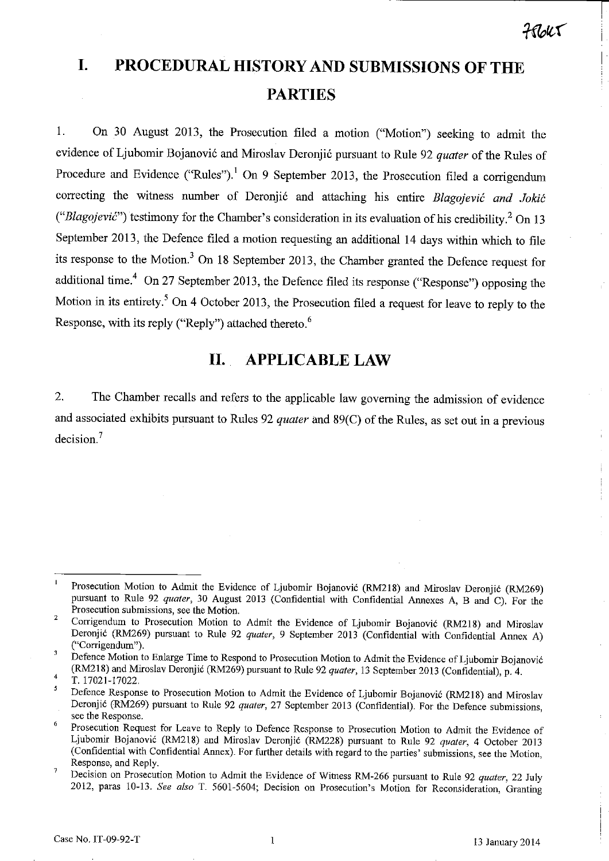$+$ (*bl.*T

# **I. PROCEDURAL HISTORY AND SUBMISSIONS OF THE PARTIES**

1. On 30 August 2013, the Prosecution filed a motion ("Motion") seeking to admit the evidence of Ljubomir Bojanovi6 and Miroslav Deronji6 pursuant to Rule 92 *quater* of the Rules of Procedure and Evidence ("Rules").<sup>1</sup> On 9 September 2013, the Prosecution filed a corrigendum correcting the witness number of Deronji6 and attaching his entire *Blagajevie and Jakie ("Blagojević")* testimony for the Chamber's consideration in its evaluation of his credibility.<sup>2</sup> On 13 September 2013, the Defence filed a motion requesting an additional 14 days within which to file its response to the Motion.<sup>3</sup> On 18 September 2013, the Chamber granted the Defence request for additional time.<sup>4</sup> On 27 September 2013, the Defence filed its response ("Response") opposing the Motion in its entirety.<sup>5</sup> On 4 October 2013, the Prosecution filed a request for leave to reply to the Response, with its reply ("Reply") attached thereto.<sup>6</sup>

## **II. APPLICABLE LAW**

2. The Chamber recalls and refers to the applicable law governing the admission of evidence and associated exhibits pursuant to Rules 92 *quater* and 89(C) of the Rules, as set out in a previous decision.<sup>7</sup>

<sup>2</sup>  Prosecution Motion to Admit the Evidence of Ljubomir Bojanovic (RM218) and Miroslav Deronjic (RM269) pursuant to Rule 92 *quater,* 30 August 2013 (Confidential with Confidential Annexes A, B and C). For the **Prosecution submissions, see the Motion.** 

Corrigendum to Prosecution Motion to Admit the Evidence of Ljubomir Bojanovic (RM218) and Miroslav Deronjic (RM269) pursuant to Rule 92 *quater,* 9 September 2013 (Confidential with Confidential Annex A) ("Corrigendum"). 3

Defence Motion to Enlarge Time to Respond to Prosecution Motion to Admit the Evidence of Ljubomir Bojanovic (RM218) and Miroslav Deronjic (RM269) pursuant to Rule 92 *quater,* 13 September 2013 (Confidential), p. 4.

<sup>4</sup>  T. 17021-17022.

 $\overline{5}$ Defence Response to Prosecution Motion to Admit the Evidence of Ljubomir Bojanovic (RM218) and Miroslav Deronjic (RM269) pursuant to Rule 92 *quater,* 27 September 2013 (Confidential). For the Defence submissions, **see the Response.** 

 $\boldsymbol{6}$ Prosecution Request for Leave to Reply to Defence Response to Prosecution Motion to Admit the Evidence of Ljubomir Bojanovic (RM218) and Miroslav Deronjic (RM228) pursuant to Rule 92 *quater,* 4 October 2013 (Confidential with Confidential Annex). For further details with regard to the parties' submissions, see the Motion, Response, and Reply.  $\overline{7}$ 

Decision on Prosecution Motion to Admit the Evidence of Witness RM-266 pursuant to Rule 92 *quater,* 22 July 2012, paras 10-13. *See also* T. 5601-5604; Decision on Prosecution's Motion for Reconsideration, Granting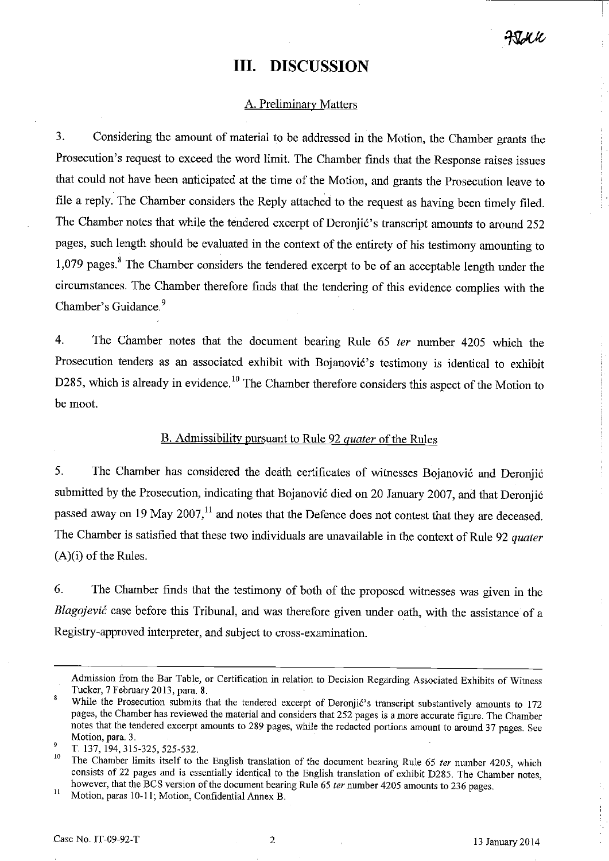## **III. DISCUSSION**

#### A. Preliminary Matters

3. Considering the amount of material to be addressed in the Motion, the Chamber grants the Prosecution's request to exceed the word limit. The Chamber finds that the Response raises issues that could not have been anticipated at the time of the Motion, and grants the Prosecution leave to file a reply. The Chamber considers the Reply attached to the request as having been timely filed. The Chamber notes that while the tendered excerpt of Deronjić's transcript amounts to around 252 pages, such length should be evaluated in the context of the entirety of his testimony amounting to 1,079 pages. 8 The Chamber considers the tendered excerpt to be of an acceptable length under the circumstances. The Chamber therefore finds that the tendering of this evidence complies with the Chamber's Guidance. <sup>9</sup>

4. The Chamber notes that the document bearing Rule 65 *ter* number 4205 which the Prosecution tenders as an associated exhibit with Bojanović's testimony is identical to exhibit D285, which is already in evidence.<sup>10</sup> The Chamber therefore considers this aspect of the Motion to be moot.

#### B. Admissibility pursuant to Rule 92 *quater* of the Rules

5. The Chamber has considered the death certificates of witnesses Bojanovic and Deronjic submitted by the Prosecution, indicating that Bojanovic died on 20 January 2007, and that Deronjic passed away on 19 May 2007,<sup>11</sup> and notes that the Defence does not contest that they are deceased. The Chamber is satisfied that these two individuals are unavailable in the context of Rule 92 *quater*   $(A)(i)$  of the Rules.

6. The Chamber finds that the testimony of both of the proposed witnesses was given in the *Blagojevic* case before this Tribunal, and was therefore given under oath, with the assistance of a Registry-approved interpreter, and subject to cross-examination.

Admission from the Bar Table, or Certification in relation to Decision Regarding Associated Exhibits of Witness Tucker, 7 February 2013, para. 8.

While the Prosecution submits that the tendered excerpt of Deronjić's transcript substantively amounts to 172 pages, the Chamber has reviewed the material and considers that 252 pages is a more accurate figure. The Chamber notes that the tendered excerpt amounts to 289 pages, while the redacted portions amount to around 37 pages. See **Motion, para.** 3,

<sup>&</sup>lt;sup>9</sup> T. 137, 194, 315-325, 525-532.<br><sup>10</sup> The Chamber limits itself to t

The Chamber limits itself to the English translation of the document bearing Rule 65 ter number 4205, which consists of 22 pages and is essentially identical to the English translation of exhibit D285. The Chamber notes, however, that the BCS version of the document bearing Rule 65 ter number 4205 amounts to 236 pages.

<sup>&</sup>lt;sup>11</sup> Motion, paras 10-11; Motion, Confidential Annex B.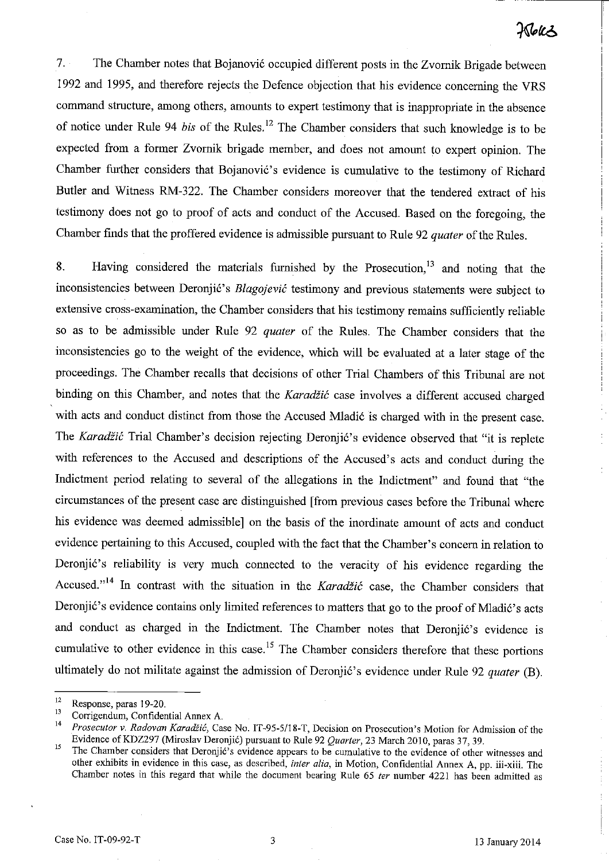## Hoks

7. The Chamber notes that Bojanović occupied different posts in the Zvornik Brigade between 1992 and 1995, and therefore rejects the Defence objection that his evidence concerning the VRS command structure, among others, amounts to expert testimony that is inappropriate in the absence of notice under Rule 94 *his* of the Rules.<sup>12</sup> The Chamber considers that such knowledge is to be expected from a former Zvornik brigade member, and does not amount to expert opinion. The Chamber further considers that Bojanović's evidence is cumulative to the testimony of Richard Butler and Witness RM-322. The Chamber considers moreover that the tendered extract of his testimony does not go to proof of acts and conduct of the Accused. Based on the foregoing, the Chamber finds that the proffered evidence is admissible pursuant to Rule 92 *quater* of the Rilles.

8. Having considered the materials furnished by the Prosecution, $13$  and noting that the inconsistencies between Deronjić's *Blagojević* testimony and previous statements were subject to extensive cross-examination, the Chamber considers that his testimony remains sufficiently reliable so as to be admissible under Rille 92 *quater* of the Rules. The Chamber considers that the inconsistencies go to the weight of the evidence, which will be evaluated at a later stage of the proceedings. The Chamber recalls that decisions of other Trial Chambers of this Tribunal are not binding on this Chamber, and notes that the *Karadžić* case involves a different accused charged with acts and conduct distinct from those the Accused Mladić is charged with in the present case. The *Karadžić* Trial Chamber's decision rejecting Deronjić's evidence observed that "it is replete with references to the Accused and descriptions of the Accused's acts and conduct during the Indictment period relating to several of the allegations in the Indictment" and found that "the circumstances of the present case are distinguished [from previous cases before the Tribunal where his evidence was deemed admissible] on the basis of the inordinate amount of acts and conduct evidence pertaining to this Accused, coupled with the fact that the Chamber's concern in relation to Deronjić's reliability is very much connected to the veracity of his evidence regarding the Accused."<sup>14</sup> In contrast with the situation in the *Karadžić* case, the Chamber considers that Deronjić's evidence contains only limited references to matters that go to the proof of Mladić's acts and conduct as charged in the Indictment. The Chamber notes that Deronjić's evidence is cumulative to other evidence in this case.<sup>15</sup> The Chamber considers therefore that these portions ultimately do not militate against the admission of Deronji6's evidence under Rule 92 *quater* (B).

 $12$  Response, paras 19-20.

<sup>&</sup>lt;sup>13</sup> Corrigendum, Confidential Annex A.

*<sup>14</sup> Prosecutor* **v.** *Radovan Karadiic,* **Case No.** *IT-95-5/18-T,* **Decision on Prosecution's Motion for Admission** of the Evidence ofKDZ297 (Miroslav Deronjic) pursuant to Rule 92 *Quarter,* 23 March 2010, paras 37, 39.

<sup>&</sup>lt;sup>15</sup> The Chamber considers that Deronjić's evidence appears to be cumulative to the evidence of other witnesses and <sup>15</sup> **other exhibits in evidence in this case, as described,** *inter alia,* **in Motion, Confidential Annex A, pp. iii-xiii. The**  Chamber notes in this regard that while the document bearing Rule 65 *ter* number 4221 has been admitted as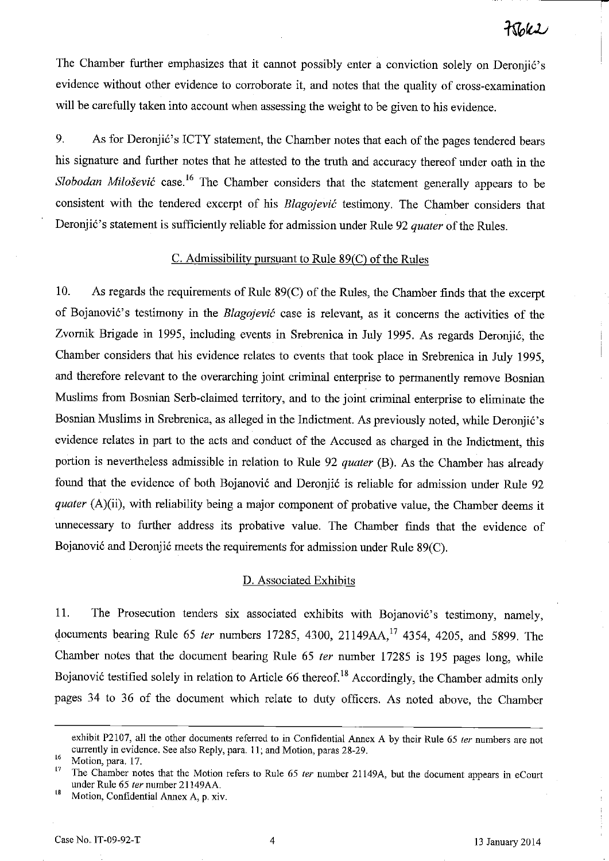The Chamber further emphasizes that it cannot possibly enter a conviction solely on Deronjić's evidence without other evidence to corroborate it, and notes that the quality of cross-examination will be carefully taken into account when assessing the weight to be given to his evidence.

9. As for Deronjić's ICTY statement, the Chamber notes that each of the pages tendered bears his signature and further notes that he attested to the truth and accuracy thereof under oath in the *Slobodan Milosevic* case. 16 The Chamber considers that the statement generally appears to be consistent with the tendered excerpt of his *Blagojevic* testimony. The Chamber considers that Deronjic's statement is sufficiently reliable for admission under Rule 92 *quater* of the Rules.

#### C. Admissibility pursuant to Rule 89(C) of the Rules

10. As regards the requirements of Rule 89(C) of the Rules, the Chamber finds that the excerpt of Bojanovic's testimony in the *Blagojevic* case is relevant, as it concerns the activities of the Zvornik Brigade in 1995, including events in Srebrenica in July 1995. As regards Deronjic, the Chamber considers that his evidence relates to events that took place in Srebrenica in July 1995, and therefore relevant to the overarching joint criminal enterprise to permanently remove Bosnian Muslims from Bosnian Serb-claimed territory, and to the joint criminal enterprise to eliminate the Bosnian Muslims in Srebrenica, as alleged in the Indictment. As previously noted, while Deronjic's evidence relates in part to the acts and conduct of the Accused as charged in the Indictment, this portion is nevertheless admissible in relation to Rule 92 *quater* (B). As the Chamber has already found that the evidence of both Bojanovic and Deronjic is reliable for admission under Rule 92 *quater* (A)(ii), with reliability being a major component of probative value, the Chamber deems it unnecessary to further address its probative value. The Chamber fmds that the evidence of Bojanovic and Deronjic meets the requirements for admission under Rule 89(C).

#### D. Associated Exhibits

11. The Prosecution tenders six associated exhibits with Bojanović's testimony, namely, documents bearing Rule 65 *ter* numbers 17285, 4300, 21149AA,17 4354, 4205, and 5899. The Chamber notes that the document bearing Rule 65 *ter* number 17285 is 195 pages long, while Bojanović testified solely in relation to Article 66 thereof.<sup>18</sup> Accordingly, the Chamber admits only pages 34 to 36 of the document which relate to duty officers. As noted above, the Chamber

exhibit P2107, all the other documents referred to in Confidential Annex A by their Rule 65 *ter* numbers are not currently in evidence. See also Reply, para. 11; and Motion, paras 28-29.

**<sup>16</sup>Motion, para. 17.** 

The Chamber notes that the Motion refers to Rule 65 *ter* number 21149A, but the document appears in eCourt under Rule 65 *ter* number 21149AA.

**t8 Motion, Confidential Annex A, p. xiv.**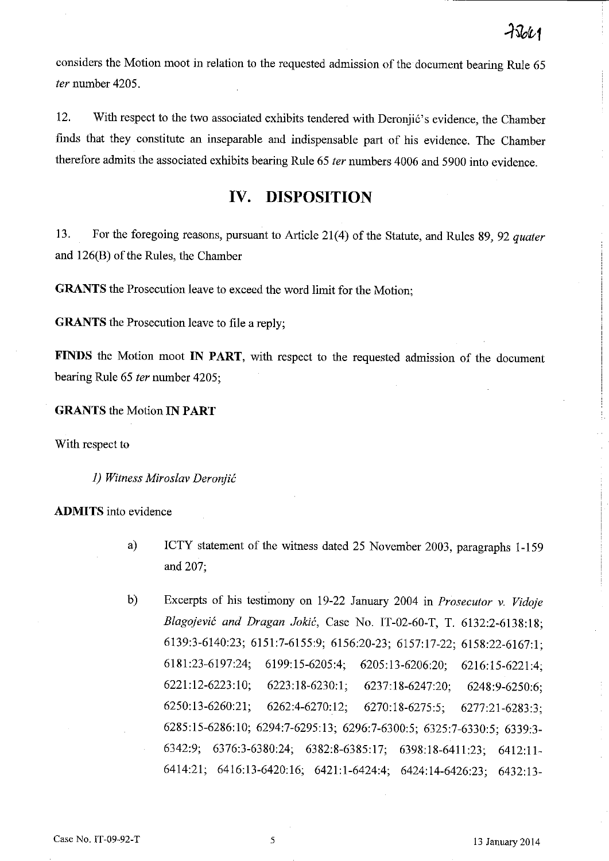considers the Motion moot in relation to the requested admission of the document bearing Rule 65 *ter* number 4205.

12. With respect to the two associated exhibits tendered with Deronjić's evidence, the Chamber finds that they constitute an inseparable and indispensable part of his evidence. The Chamber therefore admits the associated exhibits bearing Rule 65 *ter* numbers 4006 and 5900 into evidence.

## **IV. DISPOSITION**

13. For the foregoing reasons, pursuant to Article 21(4) of the Statute, and Rules 89, 92 *quater*  and 126(B) of the Rules, the Chamber

**GRANTS** the Prosecution leave to exceed the word limit for the Motion;

**GRANTS** the Prosecution leave to file a reply;

**FINDS** the Motion moot **IN PART,** with respect to the requested admission of the document bearing Rule 65 *ter* number 4205;

**GRANTS** the Motion **IN PART** 

With respect to

*1) Witness Miroslav Deronjie* 

**ADMITS** into evidence

- a) ICTY statement of the witness dated 25 November 2003, paragraphs 1-159 and 207;
- b) Excerpts of his testimony on 19-22 January 2004 in *Prosecutor* v. *Vidoje Blagojevie and Dragan Jokie,* Case No. IT-02-60-T, T. 6132:2-6138:18; 6139:3-6140:23; 6151:7-6155:9; 6156:20-23; 6157:17-22; 6158:22-6167:1; 6181:23-6197:24; 6199:15-6205:4; 6205:13-6206:20; 6216:15-6221:4; 6221 :12-6223:10; 6223:18-6230:1; 6237:18-6247:20; 6248:9-6250:6; 6250: 13-6260:21; 6262:4-6270:12; 6270:18-6275:5; 6277:21-6283:3; 6285:15-6286:10; 6294:7-6295:13; 6296:7-6300:5; 6325:7-6330:5; 6339:3- 6342:9; 6376:3-6380:24; 6382:8-6385:17; 6398:18-6411:23; 6412:11- 6414:21; 6416:13-6420:16; 6421:1-6424:4; 6424:14-6426:23; 6432:13-